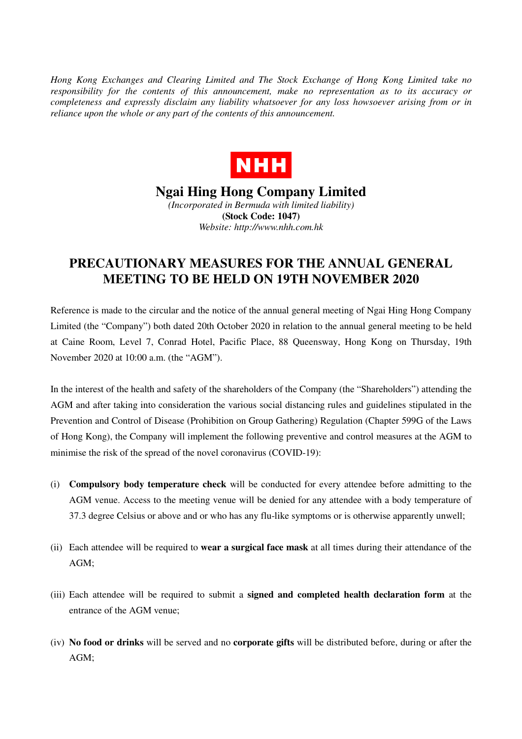*Hong Kong Exchanges and Clearing Limited and The Stock Exchange of Hong Kong Limited take no responsibility for the contents of this announcement, make no representation as to its accuracy or completeness and expressly disclaim any liability whatsoever for any loss howsoever arising from or in reliance upon the whole or any part of the contents of this announcement.* 



## **Ngai Hing Hong Company Limited**  *(Incorporated in Bermuda with limited liability)*

**(Stock Code: 1047)**  *Website: http://www.nhh.com.hk* 

## **PRECAUTIONARY MEASURES FOR THE ANNUAL GENERAL MEETING TO BE HELD ON 19TH NOVEMBER 2020**

Reference is made to the circular and the notice of the annual general meeting of Ngai Hing Hong Company Limited (the "Company") both dated 20th October 2020 in relation to the annual general meeting to be held at Caine Room, Level 7, Conrad Hotel, Pacific Place, 88 Queensway, Hong Kong on Thursday, 19th November 2020 at 10:00 a.m. (the "AGM").

In the interest of the health and safety of the shareholders of the Company (the "Shareholders") attending the AGM and after taking into consideration the various social distancing rules and guidelines stipulated in the Prevention and Control of Disease (Prohibition on Group Gathering) Regulation (Chapter 599G of the Laws of Hong Kong), the Company will implement the following preventive and control measures at the AGM to minimise the risk of the spread of the novel coronavirus (COVID-19):

- (i) **Compulsory body temperature check** will be conducted for every attendee before admitting to the AGM venue. Access to the meeting venue will be denied for any attendee with a body temperature of 37.3 degree Celsius or above and or who has any flu-like symptoms or is otherwise apparently unwell;
- (ii) Each attendee will be required to **wear a surgical face mask** at all times during their attendance of the AGM;
- (iii) Each attendee will be required to submit a **signed and completed health declaration form** at the entrance of the AGM venue;
- (iv) **No food or drinks** will be served and no **corporate gifts** will be distributed before, during or after the AGM;